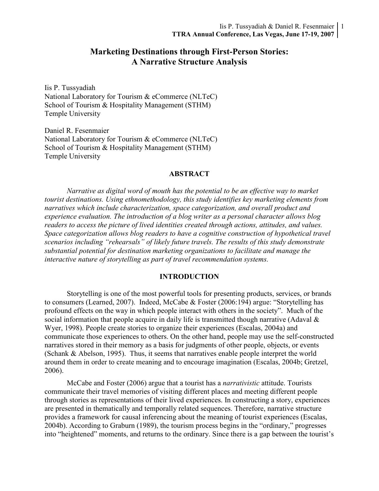# Marketing Destinations through First-Person Stories: A Narrative Structure Analysis

Iis P. Tussyadiah National Laboratory for Tourism & eCommerce (NLTeC) School of Tourism & Hospitality Management (STHM) Temple University

Daniel R. Fesenmaier National Laboratory for Tourism & eCommerce (NLTeC) School of Tourism & Hospitality Management (STHM) Temple University

#### **ABSTRACT**

Narrative as digital word of mouth has the potential to be an effective way to market tourist destinations. Using ethnomethodology, this study identifies key marketing elements from narratives which include characterization, space categorization, and overall product and experience evaluation. The introduction of a blog writer as a personal character allows blog readers to access the picture of lived identities created through actions, attitudes, and values. Space categorization allows blog readers to have a cognitive construction of hypothetical travel scenarios including "rehearsals" of likely future travels. The results of this study demonstrate substantial potential for destination marketing organizations to facilitate and manage the interactive nature of storytelling as part of travel recommendation systems.

#### INTRODUCTION

Storytelling is one of the most powerful tools for presenting products, services, or brands to consumers (Learned, 2007). Indeed, McCabe & Foster (2006:194) argue: "Storytelling has profound effects on the way in which people interact with others in the society". Much of the social information that people acquire in daily life is transmitted though narrative (Adaval  $\&$ Wyer, 1998). People create stories to organize their experiences (Escalas, 2004a) and communicate those experiences to others. On the other hand, people may use the self-constructed narratives stored in their memory as a basis for judgments of other people, objects, or events (Schank & Abelson, 1995). Thus, it seems that narratives enable people interpret the world around them in order to create meaning and to encourage imagination (Escalas, 2004b; Gretzel, 2006).

McCabe and Foster (2006) argue that a tourist has a *narrativistic* attitude. Tourists communicate their travel memories of visiting different places and meeting different people through stories as representations of their lived experiences. In constructing a story, experiences are presented in thematically and temporally related sequences. Therefore, narrative structure provides a framework for causal inferencing about the meaning of tourist experiences (Escalas, 2004b). According to Graburn (1989), the tourism process begins in the "ordinary," progresses into "heightened" moments, and returns to the ordinary. Since there is a gap between the tourist's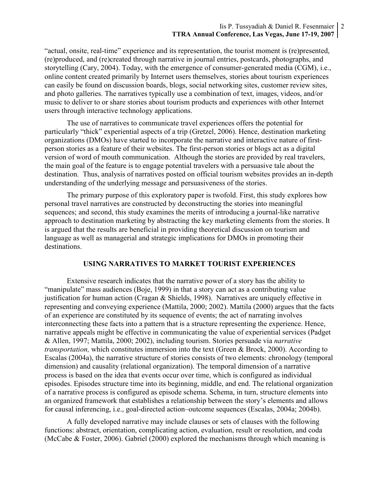"actual, onsite, real-time" experience and its representation, the tourist moment is (re)presented, (re)produced, and (re)created through narrative in journal entries, postcards, photographs, and storytelling (Cary, 2004). Today, with the emergence of consumer-generated media (CGM), i.e., online content created primarily by Internet users themselves, stories about tourism experiences can easily be found on discussion boards, blogs, social networking sites, customer review sites, and photo galleries. The narratives typically use a combination of text, images, videos, and/or music to deliver to or share stories about tourism products and experiences with other Internet users through interactive technology applications.

The use of narratives to communicate travel experiences offers the potential for particularly "thick" experiential aspects of a trip (Gretzel, 2006). Hence, destination marketing organizations (DMOs) have started to incorporate the narrative and interactive nature of firstperson stories as a feature of their websites. The first-person stories or blogs act as a digital version of word of mouth communication. Although the stories are provided by real travelers, the main goal of the feature is to engage potential travelers with a persuasive tale about the destination. Thus, analysis of narratives posted on official tourism websites provides an in-depth understanding of the underlying message and persuasiveness of the stories.

The primary purpose of this exploratory paper is twofold. First, this study explores how personal travel narratives are constructed by deconstructing the stories into meaningful sequences; and second, this study examines the merits of introducing a journal-like narrative approach to destination marketing by abstracting the key marketing elements from the stories. It is argued that the results are beneficial in providing theoretical discussion on tourism and language as well as managerial and strategic implications for DMOs in promoting their destinations.

# USING NARRATIVES TO MARKET TOURIST EXPERIENCES

Extensive research indicates that the narrative power of a story has the ability to "manipulate" mass audiences (Boje, 1999) in that a story can act as a contributing value justification for human action (Cragan & Shields, 1998). Narratives are uniquely effective in representing and conveying experience (Mattila, 2000; 2002). Mattila (2000) argues that the facts of an experience are constituted by its sequence of events; the act of narrating involves interconnecting these facts into a pattern that is a structure representing the experience. Hence, narrative appeals might be effective in communicating the value of experiential services (Padget & Allen, 1997; Mattila, 2000; 2002), including tourism. Stories persuade via narrative transportation, which constitutes immersion into the text (Green & Brock, 2000). According to Escalas (2004a), the narrative structure of stories consists of two elements: chronology (temporal dimension) and causality (relational organization). The temporal dimension of a narrative process is based on the idea that events occur over time, which is configured as individual episodes. Episodes structure time into its beginning, middle, and end. The relational organization of a narrative process is configured as episode schema. Schema, in turn, structure elements into an organized framework that establishes a relationship between the story's elements and allows for causal inferencing, i.e., goal-directed action–outcome sequences (Escalas, 2004a; 2004b).

A fully developed narrative may include clauses or sets of clauses with the following functions: abstract, orientation, complicating action, evaluation, result or resolution, and coda (McCabe & Foster, 2006). Gabriel (2000) explored the mechanisms through which meaning is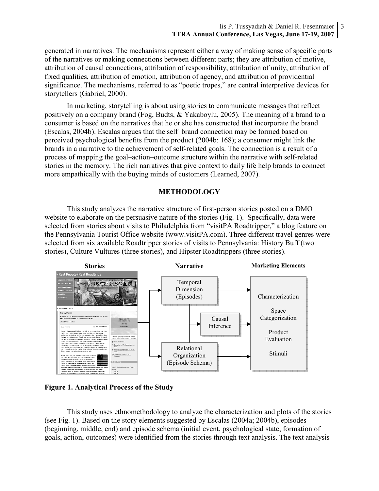generated in narratives. The mechanisms represent either a way of making sense of specific parts of the narratives or making connections between different parts; they are attribution of motive, attribution of causal connections, attribution of responsibility, attribution of unity, attribution of fixed qualities, attribution of emotion, attribution of agency, and attribution of providential significance. The mechanisms, referred to as "poetic tropes," are central interpretive devices for storytellers (Gabriel, 2000).

In marketing, storytelling is about using stories to communicate messages that reflect positively on a company brand (Fog, Budts, & Yakaboylu, 2005). The meaning of a brand to a consumer is based on the narratives that he or she has constructed that incorporate the brand (Escalas, 2004b). Escalas argues that the self–brand connection may be formed based on perceived psychological benefits from the product (2004b: 168); a consumer might link the brands in a narrative to the achievement of self-related goals. The connection is a result of a process of mapping the goal–action–outcome structure within the narrative with self-related stories in the memory. The rich narratives that give context to daily life help brands to connect more empathically with the buying minds of customers (Learned, 2007).

#### **METHODOLOGY**

This study analyzes the narrative structure of first-person stories posted on a DMO website to elaborate on the persuasive nature of the stories (Fig. 1). Specifically, data were selected from stories about visits to Philadelphia from "visitPA Roadtripper," a blog feature on the Pennsylvania Tourist Office website (www.visitPA.com). Three different travel genres were selected from six available Roadtripper stories of visits to Pennsylvania: History Buff (two stories), Culture Vultures (three stories), and Hipster Roadtrippers (three stories).



Figure 1. Analytical Process of the Study

This study uses ethnomethodology to analyze the characterization and plots of the stories (see Fig. 1). Based on the story elements suggested by Escalas (2004a; 2004b), episodes (beginning, middle, end) and episode schema (initial event, psychological state, formation of goals, action, outcomes) were identified from the stories through text analysis. The text analysis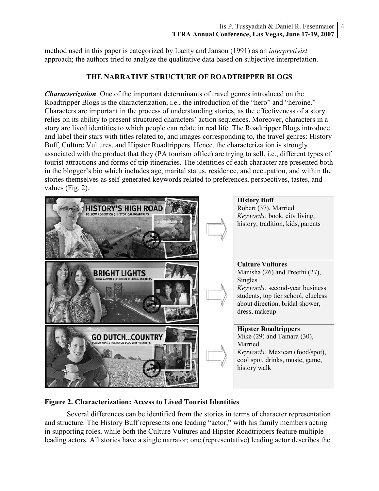method used in this paper is categorized by Lacity and Janson (1991) as an interpretivist approach; the authors tried to analyze the qualitative data based on subjective interpretation.

# THE NARRATIVE STRUCTURE OF ROADTRIPPER BLOGS

Characterization. One of the important determinants of travel genres introduced on the Roadtripper Blogs is the characterization, i.e., the introduction of the "hero" and "heroine." Characters are important in the process of understanding stories, as the effectiveness of a story relies on its ability to present structured characters' action sequences. Moreover, characters in a story are lived identities to which people can relate in real life. The Roadtripper Blogs introduce and label their stars with titles related to, and images corresponding to, the travel genres: History Buff, Culture Vultures, and Hipster Roadtrippers. Hence, the characterization is strongly associated with the product that they (PA tourism office) are trying to sell, i.e., different types of tourist attractions and forms of trip itineraries. The identities of each character are presented both in the blogger's bio which includes age, marital status, residence, and occupation, and within the stories themselves as self-generated keywords related to preferences, perspectives, tastes, and values (Fig. 2).



# Figure 2. Characterization: Access to Lived Tourist Identities

Several differences can be identified from the stories in terms of character representation and structure. The History Buff represents one leading "actor," with his family members acting in supporting roles, while both the Culture Vultures and Hipster Roadtrippers feature multiple leading actors. All stories have a single narrator; one (representative) leading actor describes the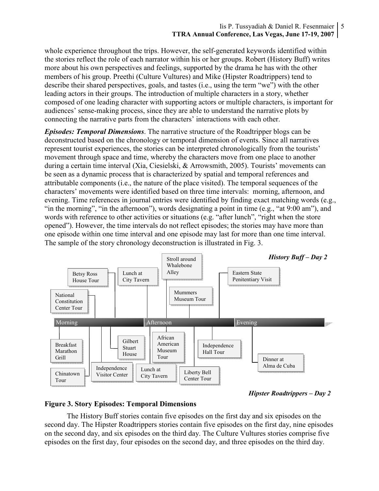whole experience throughout the trips. However, the self-generated keywords identified within the stories reflect the role of each narrator within his or her groups. Robert (History Buff) writes more about his own perspectives and feelings, supported by the drama he has with the other members of his group. Preethi (Culture Vultures) and Mike (Hipster Roadtrippers) tend to describe their shared perspectives, goals, and tastes (i.e., using the term "we") with the other leading actors in their groups. The introduction of multiple characters in a story, whether composed of one leading character with supporting actors or multiple characters, is important for audiences' sense-making process, since they are able to understand the narrative plots by connecting the narrative parts from the characters' interactions with each other.

Episodes: Temporal Dimensions. The narrative structure of the Roadtripper blogs can be deconstructed based on the chronology or temporal dimension of events. Since all narratives represent tourist experiences, the stories can be interpreted chronologically from the tourists' movement through space and time, whereby the characters move from one place to another during a certain time interval (Xia, Ciesielski, & Arrowsmith, 2005). Tourists' movements can be seen as a dynamic process that is characterized by spatial and temporal references and attributable components (i.e., the nature of the place visited). The temporal sequences of the characters' movements were identified based on three time intervals: morning, afternoon, and evening. Time references in journal entries were identified by finding exact matching words (e.g., "in the morning", "in the afternoon"), words designating a point in time (e.g., "at 9:00 am"), and words with reference to other activities or situations (e.g. "after lunch", "right when the store opened"). However, the time intervals do not reflect episodes; the stories may have more than one episode within one time interval and one episode may last for more than one time interval. The sample of the story chronology deconstruction is illustrated in Fig. 3.



Hipster Roadtrippers – Day 2

# Figure 3. Story Episodes: Temporal Dimensions

The History Buff stories contain five episodes on the first day and six episodes on the second day. The Hipster Roadtrippers stories contain five episodes on the first day, nine episodes on the second day, and six episodes on the third day. The Culture Vultures stories comprise five episodes on the first day, four episodes on the second day, and three episodes on the third day.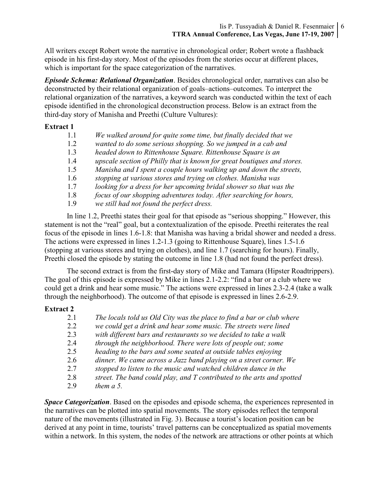All writers except Robert wrote the narrative in chronological order; Robert wrote a flashback episode in his first-day story. Most of the episodes from the stories occur at different places, which is important for the space categorization of the narratives.

Episode Schema: Relational Organization. Besides chronological order, narratives can also be deconstructed by their relational organization of goals–actions–outcomes. To interpret the relational organization of the narratives, a keyword search was conducted within the text of each episode identified in the chronological deconstruction process. Below is an extract from the third-day story of Manisha and Preethi (Culture Vultures):

#### Extract 1

| 1.1 | We walked around for quite some time, but finally decided that we |  |  |  |
|-----|-------------------------------------------------------------------|--|--|--|
|-----|-------------------------------------------------------------------|--|--|--|

- 1.2 wanted to do some serious shopping. So we jumped in a cab and
- 1.3 headed down to Rittenhouse Square. Rittenhouse Square is an
- 1.4 upscale section of Philly that is known for great boutiques and stores.
- 1.5 Manisha and I spent a couple hours walking up and down the streets,
- 1.6 stopping at various stores and trying on clothes. Manisha was
- 1.7 looking for a dress for her upcoming bridal shower so that was the
- 1.8 focus of our shopping adventures today. After searching for hours,
- 1.9 we still had not found the perfect dress.

In line 1.2, Preethi states their goal for that episode as "serious shopping." However, this statement is not the "real" goal, but a contextualization of the episode. Preethi reiterates the real focus of the episode in lines 1.6-1.8: that Manisha was having a bridal shower and needed a dress. The actions were expressed in lines 1.2-1.3 (going to Rittenhouse Square), lines 1.5-1.6 (stopping at various stores and trying on clothes), and line 1.7 (searching for hours). Finally, Preethi closed the episode by stating the outcome in line 1.8 (had not found the perfect dress).

The second extract is from the first-day story of Mike and Tamara (Hipster Roadtrippers). The goal of this episode is expressed by Mike in lines 2.1-2.2: "find a bar or a club where we could get a drink and hear some music." The actions were expressed in lines 2.3-2.4 (take a walk through the neighborhood). The outcome of that episode is expressed in lines 2.6-2.9.

# Extract 2

| 2.1 | The locals told us Old City was the place to find a bar or club where  |
|-----|------------------------------------------------------------------------|
| 2.2 | we could get a drink and hear some music. The streets were lined       |
| 2.3 | with different bars and restaurants so we decided to take a walk       |
| 2.4 | through the neighborhood. There were lots of people out; some          |
| 2.5 | heading to the bars and some seated at outside tables enjoying         |
| 2.6 | dinner. We came across a Jazz band playing on a street corner. We      |
| 2.7 | stopped to listen to the music and watched children dance in the       |
| 2.8 | street. The band could play, and T contributed to the arts and spotted |
| 2.9 | them $a$ 5.                                                            |

**Space Categorization**. Based on the episodes and episode schema, the experiences represented in the narratives can be plotted into spatial movements. The story episodes reflect the temporal nature of the movements (illustrated in Fig. 3). Because a tourist's location position can be derived at any point in time, tourists' travel patterns can be conceptualized as spatial movements within a network. In this system, the nodes of the network are attractions or other points at which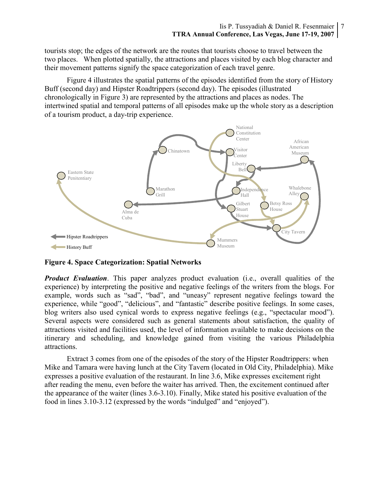tourists stop; the edges of the network are the routes that tourists choose to travel between the two places. When plotted spatially, the attractions and places visited by each blog character and their movement patterns signify the space categorization of each travel genre.

Figure 4 illustrates the spatial patterns of the episodes identified from the story of History Buff (second day) and Hipster Roadtrippers (second day). The episodes (illustrated chronologically in Figure 3) are represented by the attractions and places as nodes. The intertwined spatial and temporal patterns of all episodes make up the whole story as a description of a tourism product, a day-trip experience.



Figure 4. Space Categorization: Spatial Networks

**Product Evaluation.** This paper analyzes product evaluation (i.e., overall qualities of the experience) by interpreting the positive and negative feelings of the writers from the blogs. For example, words such as "sad", "bad", and "uneasy" represent negative feelings toward the experience, while "good", "delicious", and "fantastic" describe positive feelings. In some cases, blog writers also used cynical words to express negative feelings (e.g., "spectacular mood"). Several aspects were considered such as general statements about satisfaction, the quality of attractions visited and facilities used, the level of information available to make decisions on the itinerary and scheduling, and knowledge gained from visiting the various Philadelphia attractions.

Extract 3 comes from one of the episodes of the story of the Hipster Roadtrippers: when Mike and Tamara were having lunch at the City Tavern (located in Old City, Philadelphia). Mike expresses a positive evaluation of the restaurant. In line 3.6, Mike expresses excitement right after reading the menu, even before the waiter has arrived. Then, the excitement continued after the appearance of the waiter (lines 3.6-3.10). Finally, Mike stated his positive evaluation of the food in lines 3.10-3.12 (expressed by the words "indulged" and "enjoyed").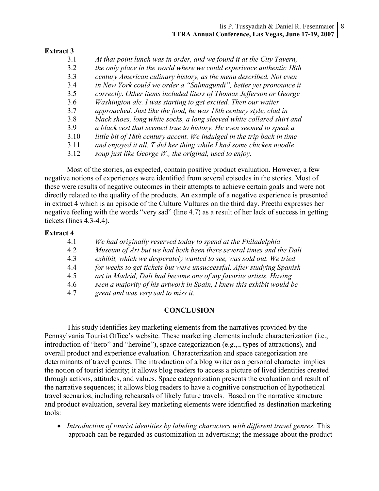# Extract 3

| 3.1  | At that point lunch was in order, and we found it at the City Tavern,   |
|------|-------------------------------------------------------------------------|
| 3.2  | the only place in the world where we could experience authentic 18th    |
| 3.3  | century American culinary history, as the menu described. Not even      |
| 3.4  | in New York could we order a "Salmagundi", better yet pronounce it      |
| 3.5  | correctly. Other items included liters of Thomas Jefferson or George    |
| 3.6  | Washington ale. I was starting to get excited. Then our waiter          |
| 37   | approached. Just like the food, he was 18th century style, clad in      |
| 3.8  | black shoes, long white socks, a long sleeved white collared shirt and  |
| 3.9  | a black vest that seemed true to history. He even seemed to speak a     |
| 3.10 | little bit of 18th century accent. We indulged in the trip back in time |
| 3.11 | and enjoyed it all. T did her thing while I had some chicken noodle     |
| 3.12 | soup just like George W., the original, used to enjoy.                  |

Most of the stories, as expected, contain positive product evaluation. However, a few negative notions of experiences were identified from several episodes in the stories. Most of these were results of negative outcomes in their attempts to achieve certain goals and were not directly related to the quality of the products. An example of a negative experience is presented in extract 4 which is an episode of the Culture Vultures on the third day. Preethi expresses her negative feeling with the words "very sad" (line 4.7) as a result of her lack of success in getting tickets (lines 4.3-4.4).

#### Extract 4

| 4.1 | We had originally reserved today to spend at the Philadelphia          |
|-----|------------------------------------------------------------------------|
| 4.2 | Museum of Art but we had both been there several times and the Dali    |
| 4.3 | exhibit, which we desperately wanted to see, was sold out. We tried    |
| 4.4 | for weeks to get tickets but were unsuccessful. After studying Spanish |
| 4.5 | art in Madrid, Dali had become one of my favorite artists. Having      |
| 4.6 | seen a majority of his artwork in Spain, I knew this exhibit would be  |
| 4.7 | great and was very sad to miss it.                                     |

# **CONCLUSION**

This study identifies key marketing elements from the narratives provided by the Pennsylvania Tourist Office's website. These marketing elements include characterization (i.e., introduction of "hero" and "heroine"), space categorization (e.g.,., types of attractions), and overall product and experience evaluation. Characterization and space categorization are determinants of travel genres. The introduction of a blog writer as a personal character implies the notion of tourist identity; it allows blog readers to access a picture of lived identities created through actions, attitudes, and values. Space categorization presents the evaluation and result of the narrative sequences; it allows blog readers to have a cognitive construction of hypothetical travel scenarios, including rehearsals of likely future travels. Based on the narrative structure and product evaluation, several key marketing elements were identified as destination marketing tools:

• Introduction of tourist identities by labeling characters with different travel genres. This approach can be regarded as customization in advertising; the message about the product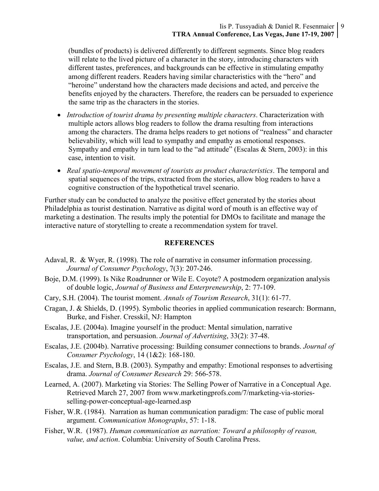(bundles of products) is delivered differently to different segments. Since blog readers will relate to the lived picture of a character in the story, introducing characters with different tastes, preferences, and backgrounds can be effective in stimulating empathy among different readers. Readers having similar characteristics with the "hero" and "heroine" understand how the characters made decisions and acted, and perceive the benefits enjoyed by the characters. Therefore, the readers can be persuaded to experience the same trip as the characters in the stories.

- Introduction of tourist drama by presenting multiple characters. Characterization with multiple actors allows blog readers to follow the drama resulting from interactions among the characters. The drama helps readers to get notions of "realness" and character believability, which will lead to sympathy and empathy as emotional responses. Sympathy and empathy in turn lead to the "ad attitude" (Escalas  $&$  Stern, 2003): in this case, intention to visit.
- Real spatio-temporal movement of tourists as product characteristics. The temporal and spatial sequences of the trips, extracted from the stories, allow blog readers to have a cognitive construction of the hypothetical travel scenario.

Further study can be conducted to analyze the positive effect generated by the stories about Philadelphia as tourist destination. Narrative as digital word of mouth is an effective way of marketing a destination. The results imply the potential for DMOs to facilitate and manage the interactive nature of storytelling to create a recommendation system for travel.

#### **REFERENCES**

- Adaval, R. & Wyer, R. (1998). The role of narrative in consumer information processing. Journal of Consumer Psychology, 7(3): 207-246.
- Boje, D.M. (1999). Is Nike Roadrunner or Wile E. Coyote? A postmodern organization analysis of double logic, Journal of Business and Enterpreneurship, 2: 77-109.
- Cary, S.H. (2004). The tourist moment. Annals of Tourism Research, 31(1): 61-77.
- Cragan, J. & Shields, D. (1995). Symbolic theories in applied communication research: Bormann, Burke, and Fisher. Cresskil, NJ: Hampton
- Escalas, J.E. (2004a). Imagine yourself in the product: Mental simulation, narrative transportation, and persuasion. Journal of Advertising, 33(2): 37-48.
- Escalas, J.E. (2004b). Narrative processing: Building consumer connections to brands. Journal of Consumer Psychology, 14 (1&2): 168-180.
- Escalas, J.E. and Stern, B.B. (2003). Sympathy and empathy: Emotional responses to advertising drama. Journal of Consumer Research 29: 566-578.
- Learned, A. (2007). Marketing via Stories: The Selling Power of Narrative in a Conceptual Age. Retrieved March 27, 2007 from www.marketingprofs.com/7/marketing-via-storiesselling-power-conceptual-age-learned.asp
- Fisher, W.R. (1984). Narration as human communication paradigm: The case of public moral argument. Communication Monographs, 57: 1-18.
- Fisher, W.R. (1987). Human communication as narration: Toward a philosophy of reason, value, and action. Columbia: University of South Carolina Press.